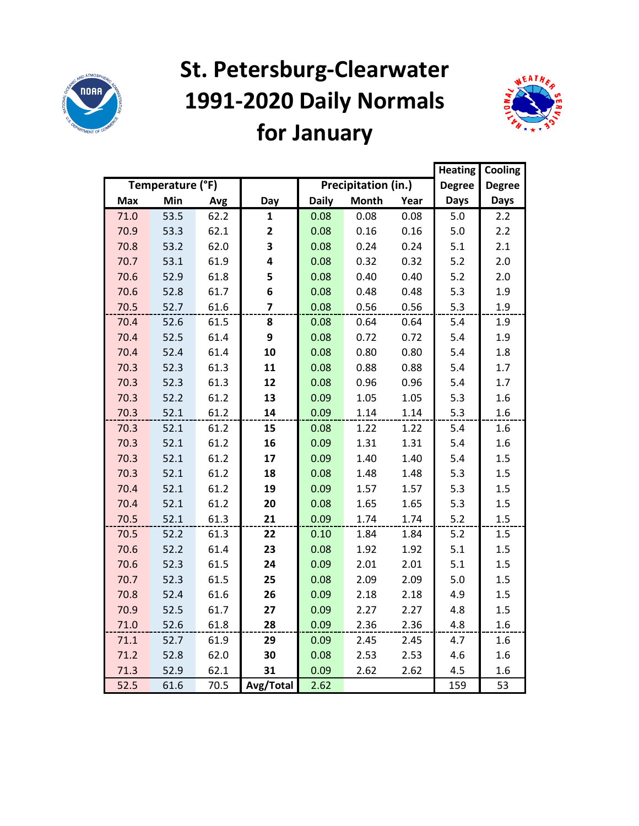

# **St. Petersburg-Clearwater 1991-2020 Daily Normals for January**



|            |                  |      |                         |              |                            |      | <b>Heating</b> | Cooling       |
|------------|------------------|------|-------------------------|--------------|----------------------------|------|----------------|---------------|
|            | Temperature (°F) |      |                         |              | <b>Precipitation (in.)</b> |      | <b>Degree</b>  | <b>Degree</b> |
| <b>Max</b> | Min              | Avg  | Day                     | <b>Daily</b> | <b>Month</b>               | Year | <b>Days</b>    | <b>Days</b>   |
| 71.0       | 53.5             | 62.2 | 1                       | 0.08         | 0.08                       | 0.08 | 5.0            | 2.2           |
| 70.9       | 53.3             | 62.1 | $\overline{\mathbf{2}}$ | 0.08         | 0.16                       | 0.16 | 5.0            | 2.2           |
| 70.8       | 53.2             | 62.0 | 3                       | 0.08         | 0.24                       | 0.24 | 5.1            | 2.1           |
| 70.7       | 53.1             | 61.9 | 4                       | 0.08         | 0.32                       | 0.32 | $5.2$          | 2.0           |
| 70.6       | 52.9             | 61.8 | 5                       | 0.08         | 0.40                       | 0.40 | 5.2            | 2.0           |
| 70.6       | 52.8             | 61.7 | 6                       | 0.08         | 0.48                       | 0.48 | 5.3            | 1.9           |
| 70.5       | 52.7             | 61.6 | $\overline{\mathbf{z}}$ | 0.08         | 0.56                       | 0.56 | 5.3            | 1.9           |
| 70.4       | 52.6             | 61.5 | 8                       | 0.08         | 0.64                       | 0.64 | 5.4            | 1.9           |
| 70.4       | 52.5             | 61.4 | 9                       | 0.08         | 0.72                       | 0.72 | 5.4            | 1.9           |
| 70.4       | 52.4             | 61.4 | 10                      | 0.08         | 0.80                       | 0.80 | 5.4            | 1.8           |
| 70.3       | 52.3             | 61.3 | 11                      | 0.08         | 0.88                       | 0.88 | 5.4            | 1.7           |
| 70.3       | 52.3             | 61.3 | 12                      | 0.08         | 0.96                       | 0.96 | 5.4            | 1.7           |
| 70.3       | 52.2             | 61.2 | 13                      | 0.09         | 1.05                       | 1.05 | 5.3            | 1.6           |
| 70.3       | 52.1             | 61.2 | 14                      | 0.09         | 1.14                       | 1.14 | 5.3            | 1.6           |
| 70.3       | 52.1             | 61.2 | 15                      | 0.08         | 1.22                       | 1.22 | 5.4            | 1.6           |
| 70.3       | 52.1             | 61.2 | 16                      | 0.09         | 1.31                       | 1.31 | 5.4            | 1.6           |
| 70.3       | 52.1             | 61.2 | 17                      | 0.09         | 1.40                       | 1.40 | 5.4            | 1.5           |
| 70.3       | 52.1             | 61.2 | 18                      | 0.08         | 1.48                       | 1.48 | 5.3            | 1.5           |
| 70.4       | 52.1             | 61.2 | 19                      | 0.09         | 1.57                       | 1.57 | 5.3            | 1.5           |
| 70.4       | 52.1             | 61.2 | 20                      | 0.08         | 1.65                       | 1.65 | 5.3            | 1.5           |
| 70.5       | 52.1             | 61.3 | 21                      | 0.09         | 1.74                       | 1.74 | 5.2            | 1.5           |
| 70.5       | 52.2             | 61.3 | 22                      | 0.10         | 1.84                       | 1.84 | $5.2$          | 1.5           |
| 70.6       | 52.2             | 61.4 | 23                      | 0.08         | 1.92                       | 1.92 | 5.1            | 1.5           |
| 70.6       | 52.3             | 61.5 | 24                      | 0.09         | 2.01                       | 2.01 | 5.1            | 1.5           |
| 70.7       | 52.3             | 61.5 | 25                      | 0.08         | 2.09                       | 2.09 | 5.0            | 1.5           |
| 70.8       | 52.4             | 61.6 | 26                      | 0.09         | 2.18                       | 2.18 | 4.9            | 1.5           |
| 70.9       | 52.5             | 61.7 | 27                      | 0.09         | 2.27                       | 2.27 | 4.8            | 1.5           |
| 71.0       | 52.6             | 61.8 | 28                      | 0.09         | 2.36                       | 2.36 | 4.8            | 1.6           |
| 71.1       | 52.7             | 61.9 | 29                      | 0.09         | 2.45                       | 2.45 | 4.7            | 1.6           |
| 71.2       | 52.8             | 62.0 | 30                      | 0.08         | 2.53                       | 2.53 | 4.6            | 1.6           |
| 71.3       | 52.9             | 62.1 | 31                      | 0.09         | 2.62                       | 2.62 | 4.5            | 1.6           |
| 52.5       | 61.6             | 70.5 | Avg/Total               | 2.62         |                            |      | 159            | 53            |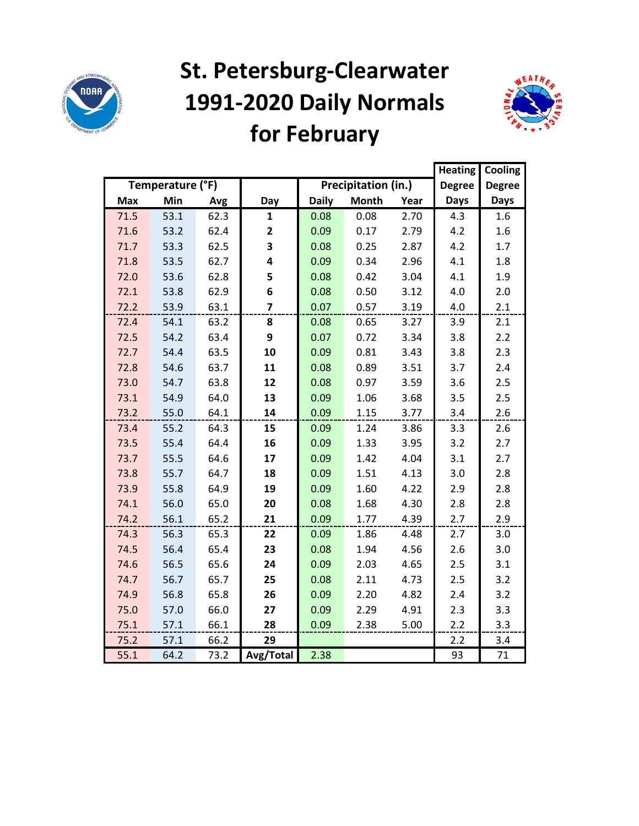

## **St. Petersburg-Clearwater 1991-2020 Daily Normals for February**



|            |                  |      |                         |              |                     |      | <b>Heating</b> | Cooling       |
|------------|------------------|------|-------------------------|--------------|---------------------|------|----------------|---------------|
|            | Temperature (°F) |      |                         |              | Precipitation (in.) |      | <b>Degree</b>  | <b>Degree</b> |
| <b>Max</b> | Min              | Avg  | Day                     | <b>Daily</b> | <b>Month</b>        | Year | <b>Days</b>    | <b>Days</b>   |
| 71.5       | 53.1             | 62.3 | $\mathbf{1}$            | 0.08         | 0.08                | 2.70 | 4.3            | 1.6           |
| 71.6       | 53.2             | 62.4 | $\overline{\mathbf{2}}$ | 0.09         | 0.17                | 2.79 | 4.2            | 1.6           |
| 71.7       | 53.3             | 62.5 | 3                       | 0.08         | 0.25                | 2.87 | 4.2            | 1.7           |
| 71.8       | 53.5             | 62.7 | 4                       | 0.09         | 0.34                | 2.96 | 4.1            | 1.8           |
| 72.0       | 53.6             | 62.8 | 5                       | 0.08         | 0.42                | 3.04 | 4.1            | 1.9           |
| 72.1       | 53.8             | 62.9 | 6                       | 0.08         | 0.50                | 3.12 | 4.0            | 2.0           |
| 72.2       | 53.9             | 63.1 | $\overline{\mathbf{z}}$ | 0.07         | 0.57                | 3.19 | 4.0            | 2.1           |
| 72.4       | 54.1             | 63.2 | 8                       | 0.08         | 0.65                | 3.27 | 3.9            | 2.1           |
| 72.5       | 54.2             | 63.4 | 9                       | 0.07         | 0.72                | 3.34 | 3.8            | 2.2           |
| 72.7       | 54.4             | 63.5 | 10                      | 0.09         | 0.81                | 3.43 | 3.8            | 2.3           |
| 72.8       | 54.6             | 63.7 | 11                      | 0.08         | 0.89                | 3.51 | 3.7            | 2.4           |
| 73.0       | 54.7             | 63.8 | 12                      | 0.08         | 0.97                | 3.59 | 3.6            | 2.5           |
| 73.1       | 54.9             | 64.0 | 13                      | 0.09         | 1.06                | 3.68 | 3.5            | 2.5           |
| 73.2       | 55.0             | 64.1 | 14                      | 0.09         | 1.15                | 3.77 | 3.4            | 2.6           |
| 73.4       | 55.2             | 64.3 | 15                      | 0.09         | 1.24                | 3.86 | 3.3            | 2.6           |
| 73.5       | 55.4             | 64.4 | 16                      | 0.09         | 1.33                | 3.95 | 3.2            | 2.7           |
| 73.7       | 55.5             | 64.6 | 17                      | 0.09         | 1.42                | 4.04 | 3.1            | 2.7           |
| 73.8       | 55.7             | 64.7 | 18                      | 0.09         | 1.51                | 4.13 | 3.0            | 2.8           |
| 73.9       | 55.8             | 64.9 | 19                      | 0.09         | 1.60                | 4.22 | 2.9            | 2.8           |
| 74.1       | 56.0             | 65.0 | 20                      | 0.08         | 1.68                | 4.30 | 2.8            | 2.8           |
| 74.2       | 56.1             | 65.2 | 21                      | 0.09         | 1.77                | 4.39 | 2.7            | 2.9           |
| 74.3       | 56.3             | 65.3 | 22                      | 0.09         | 1.86                | 4.48 | 2.7            | 3.0           |
| 74.5       | 56.4             | 65.4 | 23                      | 0.08         | 1.94                | 4.56 | 2.6            | 3.0           |
| 74.6       | 56.5             | 65.6 | 24                      | 0.09         | 2.03                | 4.65 | 2.5            | 3.1           |
| 74.7       | 56.7             | 65.7 | 25                      | 0.08         | 2.11                | 4.73 | 2.5            | 3.2           |
| 74.9       | 56.8             | 65.8 | 26                      | 0.09         | 2.20                | 4.82 | 2.4            | 3.2           |
| 75.0       | 57.0             | 66.0 | 27                      | 0.09         | 2.29                | 4.91 | 2.3            | 3.3           |
| 75.1       | 57.1             | 66.1 | 28                      | 0.09         | 2.38                | 5.00 | 2.2            | 3.3           |
| 75.2       | 57.1             | 66.2 | 29                      |              |                     |      | 2.2            | 3.4           |
| 55.1       | 64.2             | 73.2 | Avg/Total               | 2.38         |                     |      | 93             | 71            |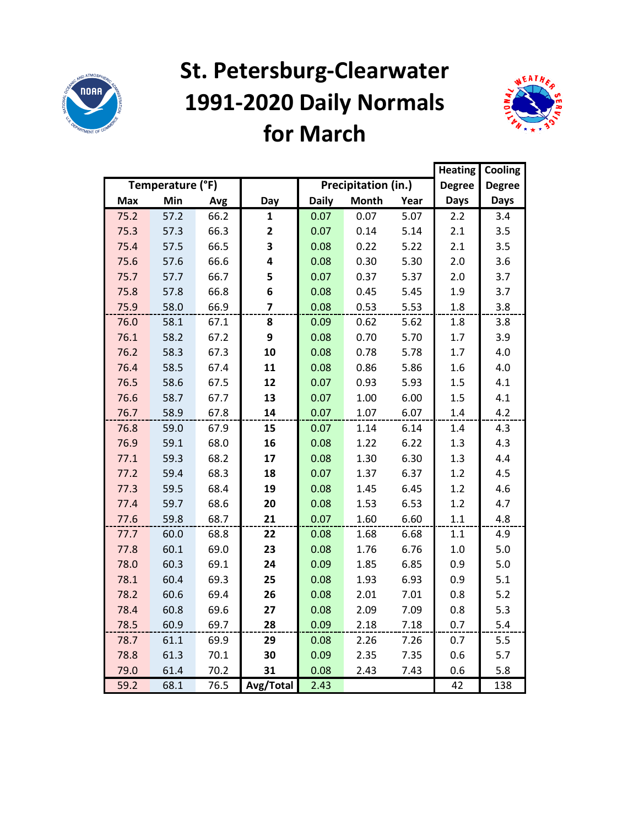

## **St. Petersburg-Clearwater 1991-2020 Daily Normals for March**



|      |                  |      |              |              |                     |      | <b>Heating</b> | Cooling       |
|------|------------------|------|--------------|--------------|---------------------|------|----------------|---------------|
|      | Temperature (°F) |      |              |              | Precipitation (in.) |      | <b>Degree</b>  | <b>Degree</b> |
| Max  | Min              | Avg  | Day          | <b>Daily</b> | <b>Month</b>        | Year | <b>Days</b>    | Days          |
| 75.2 | 57.2             | 66.2 | 1            | 0.07         | 0.07                | 5.07 | 2.2            | 3.4           |
| 75.3 | 57.3             | 66.3 | $\mathbf{2}$ | 0.07         | 0.14                | 5.14 | 2.1            | 3.5           |
| 75.4 | 57.5             | 66.5 | 3            | 0.08         | 0.22                | 5.22 | 2.1            | 3.5           |
| 75.6 | 57.6             | 66.6 | 4            | 0.08         | 0.30                | 5.30 | 2.0            | 3.6           |
| 75.7 | 57.7             | 66.7 | 5            | 0.07         | 0.37                | 5.37 | 2.0            | 3.7           |
| 75.8 | 57.8             | 66.8 | 6            | 0.08         | 0.45                | 5.45 | 1.9            | 3.7           |
| 75.9 | 58.0             | 66.9 | 7            | 0.08         | 0.53                | 5.53 | 1.8            | 3.8           |
| 76.0 | 58.1             | 67.1 | 8            | 0.09         | 0.62                | 5.62 | 1.8            | 3.8           |
| 76.1 | 58.2             | 67.2 | 9            | 0.08         | 0.70                | 5.70 | 1.7            | 3.9           |
| 76.2 | 58.3             | 67.3 | 10           | 0.08         | 0.78                | 5.78 | 1.7            | 4.0           |
| 76.4 | 58.5             | 67.4 | 11           | 0.08         | 0.86                | 5.86 | 1.6            | 4.0           |
| 76.5 | 58.6             | 67.5 | 12           | 0.07         | 0.93                | 5.93 | 1.5            | 4.1           |
| 76.6 | 58.7             | 67.7 | 13           | 0.07         | 1.00                | 6.00 | 1.5            | 4.1           |
| 76.7 | 58.9             | 67.8 | 14           | 0.07         | 1.07                | 6.07 | $1.4\,$        | 4.2           |
| 76.8 | 59.0             | 67.9 | 15           | 0.07         | 1.14                | 6.14 | 1.4            | 4.3           |
| 76.9 | 59.1             | 68.0 | 16           | 0.08         | 1.22                | 6.22 | 1.3            | 4.3           |
| 77.1 | 59.3             | 68.2 | 17           | 0.08         | 1.30                | 6.30 | 1.3            | 4.4           |
| 77.2 | 59.4             | 68.3 | 18           | 0.07         | 1.37                | 6.37 | 1.2            | 4.5           |
| 77.3 | 59.5             | 68.4 | 19           | 0.08         | 1.45                | 6.45 | 1.2            | 4.6           |
| 77.4 | 59.7             | 68.6 | 20           | 0.08         | 1.53                | 6.53 | 1.2            | 4.7           |
| 77.6 | 59.8             | 68.7 | 21           | 0.07         | 1.60                | 6.60 | 1.1            | 4.8           |
| 77.7 | 60.0             | 68.8 | 22           | 0.08         | 1.68                | 6.68 | 1.1            | 4.9           |
| 77.8 | 60.1             | 69.0 | 23           | 0.08         | 1.76                | 6.76 | 1.0            | 5.0           |
| 78.0 | 60.3             | 69.1 | 24           | 0.09         | 1.85                | 6.85 | 0.9            | 5.0           |
| 78.1 | 60.4             | 69.3 | 25           | 0.08         | 1.93                | 6.93 | 0.9            | 5.1           |
| 78.2 | 60.6             | 69.4 | 26           | 0.08         | 2.01                | 7.01 | 0.8            | $5.2$         |
| 78.4 | 60.8             | 69.6 | 27           | 0.08         | 2.09                | 7.09 | 0.8            | 5.3           |
| 78.5 | 60.9             | 69.7 | 28           | 0.09         | 2.18                | 7.18 | 0.7            | 5.4           |
| 78.7 | 61.1             | 69.9 | 29           | 0.08         | 2.26                | 7.26 | 0.7            | 5.5           |
| 78.8 | 61.3             | 70.1 | 30           | 0.09         | 2.35                | 7.35 | 0.6            | 5.7           |
| 79.0 | 61.4             | 70.2 | 31           | 0.08         | 2.43                | 7.43 | 0.6            | 5.8           |
| 59.2 | 68.1             | 76.5 | Avg/Total    | 2.43         |                     |      | 42             | 138           |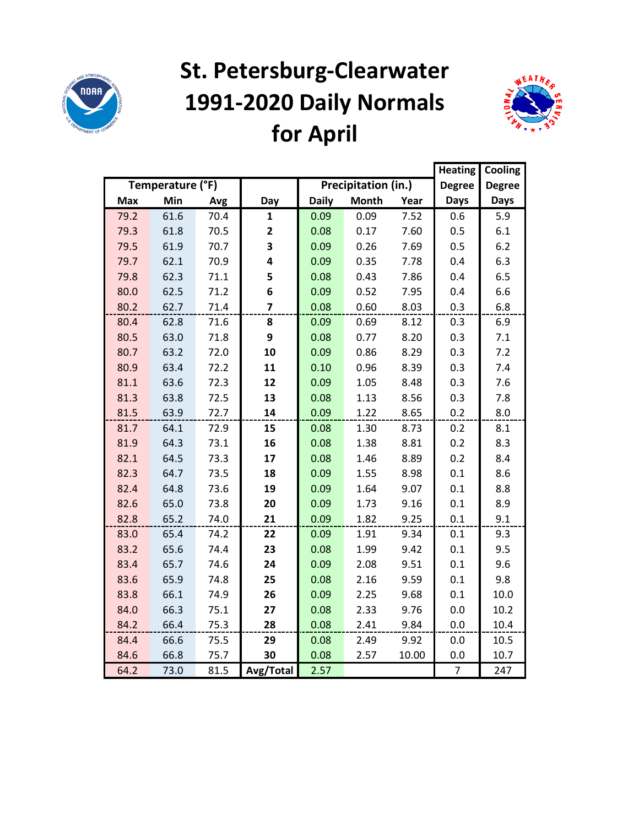

## **St. Petersburg-Clearwater 1991-2020 Daily Normals for April**



|            |                  |      |                |              |                     |       | <b>Heating</b> | Cooling       |
|------------|------------------|------|----------------|--------------|---------------------|-------|----------------|---------------|
|            | Temperature (°F) |      |                |              | Precipitation (in.) |       | <b>Degree</b>  | <b>Degree</b> |
| <b>Max</b> | Min              | Avg  | Day            | <b>Daily</b> | <b>Month</b>        | Year  | <b>Days</b>    | <b>Days</b>   |
| 79.2       | 61.6             | 70.4 | $\mathbf{1}$   | 0.09         | 0.09                | 7.52  | 0.6            | 5.9           |
| 79.3       | 61.8             | 70.5 | 2              | 0.08         | 0.17                | 7.60  | 0.5            | 6.1           |
| 79.5       | 61.9             | 70.7 | 3              | 0.09         | 0.26                | 7.69  | 0.5            | 6.2           |
| 79.7       | 62.1             | 70.9 | 4              | 0.09         | 0.35                | 7.78  | 0.4            | 6.3           |
| 79.8       | 62.3             | 71.1 | 5              | 0.08         | 0.43                | 7.86  | 0.4            | 6.5           |
| 80.0       | 62.5             | 71.2 | 6              | 0.09         | 0.52                | 7.95  | 0.4            | 6.6           |
| 80.2       | 62.7             | 71.4 | $\overline{7}$ | 0.08         | 0.60                | 8.03  | 0.3            | 6.8           |
| 80.4       | 62.8             | 71.6 | 8              | 0.09         | 0.69                | 8.12  | 0.3            | 6.9           |
| 80.5       | 63.0             | 71.8 | 9              | 0.08         | 0.77                | 8.20  | 0.3            | 7.1           |
| 80.7       | 63.2             | 72.0 | 10             | 0.09         | 0.86                | 8.29  | 0.3            | 7.2           |
| 80.9       | 63.4             | 72.2 | 11             | 0.10         | 0.96                | 8.39  | 0.3            | 7.4           |
| 81.1       | 63.6             | 72.3 | 12             | 0.09         | 1.05                | 8.48  | 0.3            | 7.6           |
| 81.3       | 63.8             | 72.5 | 13             | 0.08         | 1.13                | 8.56  | 0.3            | 7.8           |
| 81.5       | 63.9             | 72.7 | 14             | 0.09         | 1.22                | 8.65  | 0.2            | 8.0           |
| 81.7       | 64.1             | 72.9 | 15             | 0.08         | 1.30                | 8.73  | 0.2            | 8.1           |
| 81.9       | 64.3             | 73.1 | 16             | 0.08         | 1.38                | 8.81  | 0.2            | 8.3           |
| 82.1       | 64.5             | 73.3 | 17             | 0.08         | 1.46                | 8.89  | 0.2            | 8.4           |
| 82.3       | 64.7             | 73.5 | 18             | 0.09         | 1.55                | 8.98  | 0.1            | 8.6           |
| 82.4       | 64.8             | 73.6 | 19             | 0.09         | 1.64                | 9.07  | 0.1            | 8.8           |
| 82.6       | 65.0             | 73.8 | 20             | 0.09         | 1.73                | 9.16  | 0.1            | 8.9           |
| 82.8       | 65.2             | 74.0 | 21             | 0.09         | 1.82                | 9.25  | 0.1            | 9.1           |
| 83.0       | 65.4             | 74.2 | 22             | 0.09         | 1.91                | 9.34  | 0.1            | 9.3           |
| 83.2       | 65.6             | 74.4 | 23             | 0.08         | 1.99                | 9.42  | 0.1            | 9.5           |
| 83.4       | 65.7             | 74.6 | 24             | 0.09         | 2.08                | 9.51  | 0.1            | 9.6           |
| 83.6       | 65.9             | 74.8 | 25             | 0.08         | 2.16                | 9.59  | 0.1            | 9.8           |
| 83.8       | 66.1             | 74.9 | 26             | 0.09         | 2.25                | 9.68  | 0.1            | 10.0          |
| 84.0       | 66.3             | 75.1 | 27             | 0.08         | 2.33                | 9.76  | 0.0            | 10.2          |
| 84.2       | 66.4             | 75.3 | 28             | 0.08         | 2.41                | 9.84  | 0.0            | 10.4          |
| 84.4       | 66.6             | 75.5 | 29             | 0.08         | 2.49                | 9.92  | 0.0            | 10.5          |
| 84.6       | 66.8             | 75.7 | 30             | 0.08         | 2.57                | 10.00 | 0.0            | 10.7          |
| 64.2       | 73.0             | 81.5 | Avg/Total      | 2.57         |                     |       | 7              | 247           |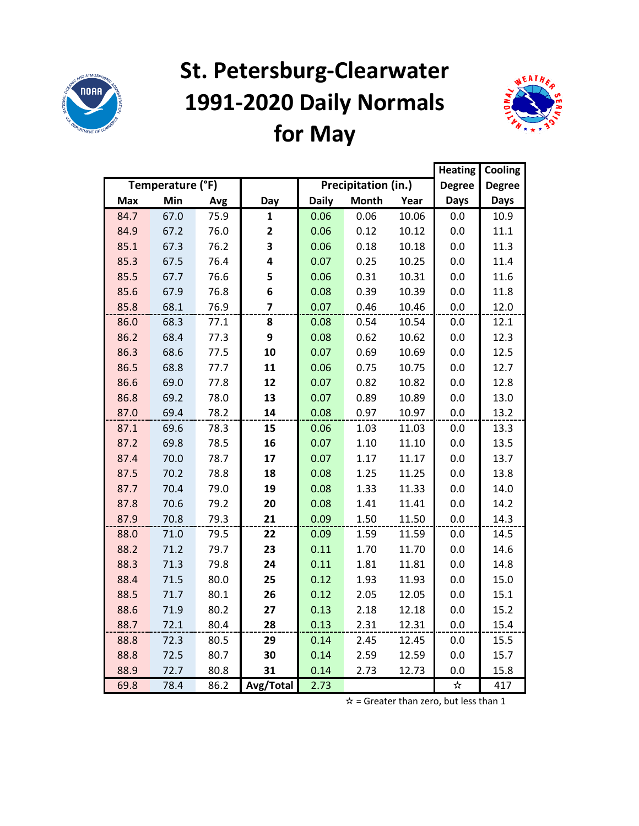

## **St. Petersburg-Clearwater 1991-2020 Daily Normals for May**



|            |                  |      |              |              |                     |       | <b>Heating</b> | Cooling       |
|------------|------------------|------|--------------|--------------|---------------------|-------|----------------|---------------|
|            | Temperature (°F) |      |              |              | Precipitation (in.) |       | <b>Degree</b>  | <b>Degree</b> |
| <b>Max</b> | Min              | Avg  | Day          | <b>Daily</b> | <b>Month</b>        | Year  | <b>Days</b>    | <b>Days</b>   |
| 84.7       | 67.0             | 75.9 | 1            | 0.06         | 0.06                | 10.06 | 0.0            | 10.9          |
| 84.9       | 67.2             | 76.0 | $\mathbf{2}$ | 0.06         | 0.12                | 10.12 | 0.0            | 11.1          |
| 85.1       | 67.3             | 76.2 | 3            | 0.06         | 0.18                | 10.18 | 0.0            | 11.3          |
| 85.3       | 67.5             | 76.4 | 4            | 0.07         | 0.25                | 10.25 | 0.0            | 11.4          |
| 85.5       | 67.7             | 76.6 | 5            | 0.06         | 0.31                | 10.31 | 0.0            | 11.6          |
| 85.6       | 67.9             | 76.8 | 6            | 0.08         | 0.39                | 10.39 | 0.0            | 11.8          |
| 85.8       | 68.1             | 76.9 | 7            | 0.07         | 0.46                | 10.46 | 0.0            | 12.0          |
| 86.0       | 68.3             | 77.1 | 8            | 0.08         | 0.54                | 10.54 | 0.0            | 12.1          |
| 86.2       | 68.4             | 77.3 | 9            | 0.08         | 0.62                | 10.62 | 0.0            | 12.3          |
| 86.3       | 68.6             | 77.5 | 10           | 0.07         | 0.69                | 10.69 | 0.0            | 12.5          |
| 86.5       | 68.8             | 77.7 | 11           | 0.06         | 0.75                | 10.75 | 0.0            | 12.7          |
| 86.6       | 69.0             | 77.8 | 12           | 0.07         | 0.82                | 10.82 | 0.0            | 12.8          |
| 86.8       | 69.2             | 78.0 | 13           | 0.07         | 0.89                | 10.89 | 0.0            | 13.0          |
| 87.0       | 69.4             | 78.2 | 14           | 0.08         | 0.97                | 10.97 | 0.0            | 13.2          |
| 87.1       | 69.6             | 78.3 | 15           | 0.06         | 1.03                | 11.03 | 0.0            | 13.3          |
| 87.2       | 69.8             | 78.5 | 16           | 0.07         | 1.10                | 11.10 | 0.0            | 13.5          |
| 87.4       | 70.0             | 78.7 | 17           | 0.07         | 1.17                | 11.17 | 0.0            | 13.7          |
| 87.5       | 70.2             | 78.8 | 18           | 0.08         | 1.25                | 11.25 | 0.0            | 13.8          |
| 87.7       | 70.4             | 79.0 | 19           | 0.08         | 1.33                | 11.33 | 0.0            | 14.0          |
| 87.8       | 70.6             | 79.2 | 20           | 0.08         | 1.41                | 11.41 | 0.0            | 14.2          |
| 87.9       | 70.8             | 79.3 | 21           | 0.09         | 1.50                | 11.50 | 0.0            | 14.3          |
| 88.0       | 71.0             | 79.5 | 22           | 0.09         | 1.59                | 11.59 | 0.0            | 14.5          |
| 88.2       | 71.2             | 79.7 | 23           | 0.11         | 1.70                | 11.70 | 0.0            | 14.6          |
| 88.3       | 71.3             | 79.8 | 24           | 0.11         | 1.81                | 11.81 | 0.0            | 14.8          |
| 88.4       | 71.5             | 80.0 | 25           | 0.12         | 1.93                | 11.93 | 0.0            | 15.0          |
| 88.5       | 71.7             | 80.1 | 26           | 0.12         | 2.05                | 12.05 | 0.0            | 15.1          |
| 88.6       | 71.9             | 80.2 | 27           | 0.13         | 2.18                | 12.18 | 0.0            | 15.2          |
| 88.7       | 72.1             | 80.4 | 28           | 0.13         | 2.31                | 12.31 | 0.0            | 15.4          |
| 88.8       | 72.3             | 80.5 | 29           | 0.14         | 2.45                | 12.45 | 0.0            | 15.5          |
| 88.8       | 72.5             | 80.7 | 30           | 0.14         | 2.59                | 12.59 | 0.0            | 15.7          |
| 88.9       | 72.7             | 80.8 | 31           | 0.14         | 2.73                | 12.73 | 0.0            | 15.8          |
| 69.8       | 78.4             | 86.2 | Avg/Total    | 2.73         |                     |       | ☆              | 417           |

 $\hat{x}$  = Greater than zero, but less than 1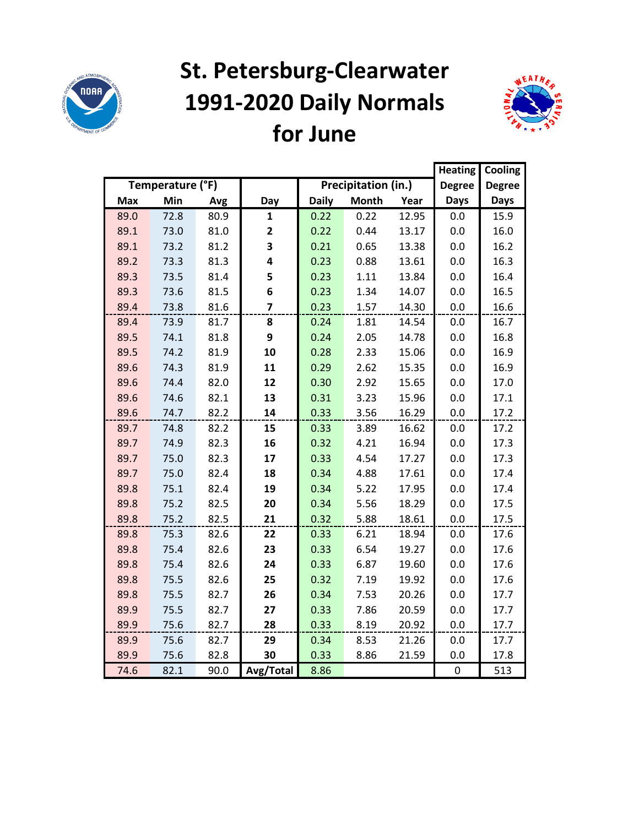

## **St. Petersburg-Clearwater 1991-2020 Daily Normals for June**



|            |                  |      |                |              |                     |       | <b>Heating</b> | Cooling       |
|------------|------------------|------|----------------|--------------|---------------------|-------|----------------|---------------|
|            | Temperature (°F) |      |                |              | Precipitation (in.) |       | <b>Degree</b>  | <b>Degree</b> |
| <b>Max</b> | Min              | Avg  | Day            | <b>Daily</b> | <b>Month</b>        | Year  | <b>Days</b>    | <b>Days</b>   |
| 89.0       | 72.8             | 80.9 | $\mathbf{1}$   | 0.22         | 0.22                | 12.95 | 0.0            | 15.9          |
| 89.1       | 73.0             | 81.0 | 2              | 0.22         | 0.44                | 13.17 | 0.0            | 16.0          |
| 89.1       | 73.2             | 81.2 | 3              | 0.21         | 0.65                | 13.38 | 0.0            | 16.2          |
| 89.2       | 73.3             | 81.3 | 4              | 0.23         | 0.88                | 13.61 | 0.0            | 16.3          |
| 89.3       | 73.5             | 81.4 | 5              | 0.23         | 1.11                | 13.84 | 0.0            | 16.4          |
| 89.3       | 73.6             | 81.5 | 6              | 0.23         | 1.34                | 14.07 | 0.0            | 16.5          |
| 89.4       | 73.8             | 81.6 | $\overline{7}$ | 0.23         | 1.57                | 14.30 | 0.0            | 16.6          |
| 89.4       | 73.9             | 81.7 | 8              | 0.24         | 1.81                | 14.54 | 0.0            | 16.7          |
| 89.5       | 74.1             | 81.8 | 9              | 0.24         | 2.05                | 14.78 | 0.0            | 16.8          |
| 89.5       | 74.2             | 81.9 | 10             | 0.28         | 2.33                | 15.06 | 0.0            | 16.9          |
| 89.6       | 74.3             | 81.9 | 11             | 0.29         | 2.62                | 15.35 | 0.0            | 16.9          |
| 89.6       | 74.4             | 82.0 | 12             | 0.30         | 2.92                | 15.65 | 0.0            | 17.0          |
| 89.6       | 74.6             | 82.1 | 13             | 0.31         | 3.23                | 15.96 | 0.0            | 17.1          |
| 89.6       | 74.7             | 82.2 | 14             | 0.33         | 3.56                | 16.29 | 0.0            | 17.2          |
| 89.7       | 74.8             | 82.2 | 15             | 0.33         | 3.89                | 16.62 | 0.0            | 17.2          |
| 89.7       | 74.9             | 82.3 | 16             | 0.32         | 4.21                | 16.94 | 0.0            | 17.3          |
| 89.7       | 75.0             | 82.3 | 17             | 0.33         | 4.54                | 17.27 | 0.0            | 17.3          |
| 89.7       | 75.0             | 82.4 | 18             | 0.34         | 4.88                | 17.61 | 0.0            | 17.4          |
| 89.8       | 75.1             | 82.4 | 19             | 0.34         | 5.22                | 17.95 | 0.0            | 17.4          |
| 89.8       | 75.2             | 82.5 | 20             | 0.34         | 5.56                | 18.29 | 0.0            | 17.5          |
| 89.8       | 75.2             | 82.5 | 21             | 0.32         | 5.88                | 18.61 | 0.0            | 17.5          |
| 89.8       | 75.3             | 82.6 | 22             | 0.33         | 6.21                | 18.94 | 0.0            | 17.6          |
| 89.8       | 75.4             | 82.6 | 23             | 0.33         | 6.54                | 19.27 | 0.0            | 17.6          |
| 89.8       | 75.4             | 82.6 | 24             | 0.33         | 6.87                | 19.60 | 0.0            | 17.6          |
| 89.8       | 75.5             | 82.6 | 25             | 0.32         | 7.19                | 19.92 | 0.0            | 17.6          |
| 89.8       | 75.5             | 82.7 | 26             | 0.34         | 7.53                | 20.26 | 0.0            | 17.7          |
| 89.9       | 75.5             | 82.7 | 27             | 0.33         | 7.86                | 20.59 | 0.0            | 17.7          |
| 89.9       | 75.6             | 82.7 | 28             | 0.33         | 8.19                | 20.92 | 0.0            | 17.7          |
| 89.9       | 75.6             | 82.7 | 29             | 0.34         | 8.53                | 21.26 | 0.0            | 17.7          |
| 89.9       | 75.6             | 82.8 | 30             | 0.33         | 8.86                | 21.59 | 0.0            | 17.8          |
| 74.6       | 82.1             | 90.0 | Avg/Total      | 8.86         |                     |       | $\pmb{0}$      | 513           |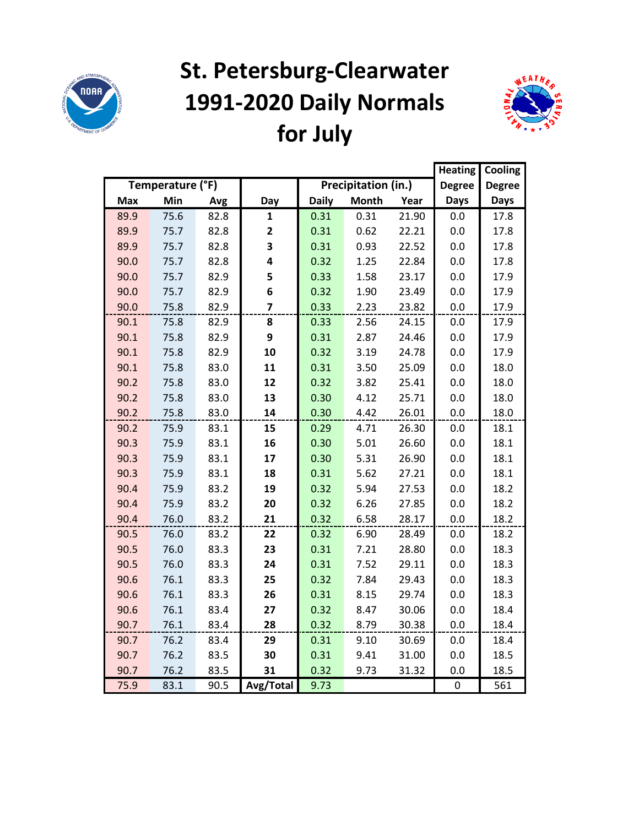

## **St. Petersburg-Clearwater 1991-2020 Daily Normals for July**



|            |                  |      |              |              |                     |       | <b>Heating</b> | Cooling       |
|------------|------------------|------|--------------|--------------|---------------------|-------|----------------|---------------|
|            | Temperature (°F) |      |              |              | Precipitation (in.) |       | <b>Degree</b>  | <b>Degree</b> |
| <b>Max</b> | Min              | Avg  | Day          | <b>Daily</b> | <b>Month</b>        | Year  | <b>Days</b>    | <b>Days</b>   |
| 89.9       | 75.6             | 82.8 | 1            | 0.31         | 0.31                | 21.90 | 0.0            | 17.8          |
| 89.9       | 75.7             | 82.8 | $\mathbf{2}$ | 0.31         | 0.62                | 22.21 | 0.0            | 17.8          |
| 89.9       | 75.7             | 82.8 | 3            | 0.31         | 0.93                | 22.52 | 0.0            | 17.8          |
| 90.0       | 75.7             | 82.8 | 4            | 0.32         | 1.25                | 22.84 | 0.0            | 17.8          |
| 90.0       | 75.7             | 82.9 | 5            | 0.33         | 1.58                | 23.17 | 0.0            | 17.9          |
| 90.0       | 75.7             | 82.9 | 6            | 0.32         | 1.90                | 23.49 | 0.0            | 17.9          |
| 90.0       | 75.8             | 82.9 | 7            | 0.33         | 2.23                | 23.82 | 0.0            | 17.9          |
| 90.1       | 75.8             | 82.9 | 8            | 0.33         | 2.56                | 24.15 | 0.0            | 17.9          |
| 90.1       | 75.8             | 82.9 | 9            | 0.31         | 2.87                | 24.46 | 0.0            | 17.9          |
| 90.1       | 75.8             | 82.9 | 10           | 0.32         | 3.19                | 24.78 | 0.0            | 17.9          |
| 90.1       | 75.8             | 83.0 | 11           | 0.31         | 3.50                | 25.09 | 0.0            | 18.0          |
| 90.2       | 75.8             | 83.0 | 12           | 0.32         | 3.82                | 25.41 | 0.0            | 18.0          |
| 90.2       | 75.8             | 83.0 | 13           | 0.30         | 4.12                | 25.71 | 0.0            | 18.0          |
| 90.2       | 75.8             | 83.0 | 14           | 0.30         | 4.42                | 26.01 | 0.0            | 18.0          |
| 90.2       | 75.9             | 83.1 | 15           | 0.29         | 4.71                | 26.30 | 0.0            | 18.1          |
| 90.3       | 75.9             | 83.1 | 16           | 0.30         | 5.01                | 26.60 | 0.0            | 18.1          |
| 90.3       | 75.9             | 83.1 | 17           | 0.30         | 5.31                | 26.90 | 0.0            | 18.1          |
| 90.3       | 75.9             | 83.1 | 18           | 0.31         | 5.62                | 27.21 | 0.0            | 18.1          |
| 90.4       | 75.9             | 83.2 | 19           | 0.32         | 5.94                | 27.53 | 0.0            | 18.2          |
| 90.4       | 75.9             | 83.2 | 20           | 0.32         | 6.26                | 27.85 | 0.0            | 18.2          |
| 90.4       | 76.0             | 83.2 | 21           | 0.32         | 6.58                | 28.17 | 0.0            | 18.2          |
| 90.5       | 76.0             | 83.2 | 22           | 0.32         | 6.90                | 28.49 | 0.0            | 18.2          |
| 90.5       | 76.0             | 83.3 | 23           | 0.31         | 7.21                | 28.80 | 0.0            | 18.3          |
| 90.5       | 76.0             | 83.3 | 24           | 0.31         | 7.52                | 29.11 | 0.0            | 18.3          |
| 90.6       | 76.1             | 83.3 | 25           | 0.32         | 7.84                | 29.43 | 0.0            | 18.3          |
| 90.6       | 76.1             | 83.3 | 26           | 0.31         | 8.15                | 29.74 | 0.0            | 18.3          |
| 90.6       | 76.1             | 83.4 | 27           | 0.32         | 8.47                | 30.06 | 0.0            | 18.4          |
| 90.7       | 76.1             | 83.4 | 28           | 0.32         | 8.79                | 30.38 | 0.0            | 18.4          |
| 90.7       | 76.2             | 83.4 | 29           | 0.31         | 9.10                | 30.69 | 0.0            | 18.4          |
| 90.7       | 76.2             | 83.5 | 30           | 0.31         | 9.41                | 31.00 | 0.0            | 18.5          |
| 90.7       | 76.2             | 83.5 | 31           | 0.32         | 9.73                | 31.32 | 0.0            | 18.5          |
| 75.9       | 83.1             | 90.5 | Avg/Total    | 9.73         |                     |       | 0              | 561           |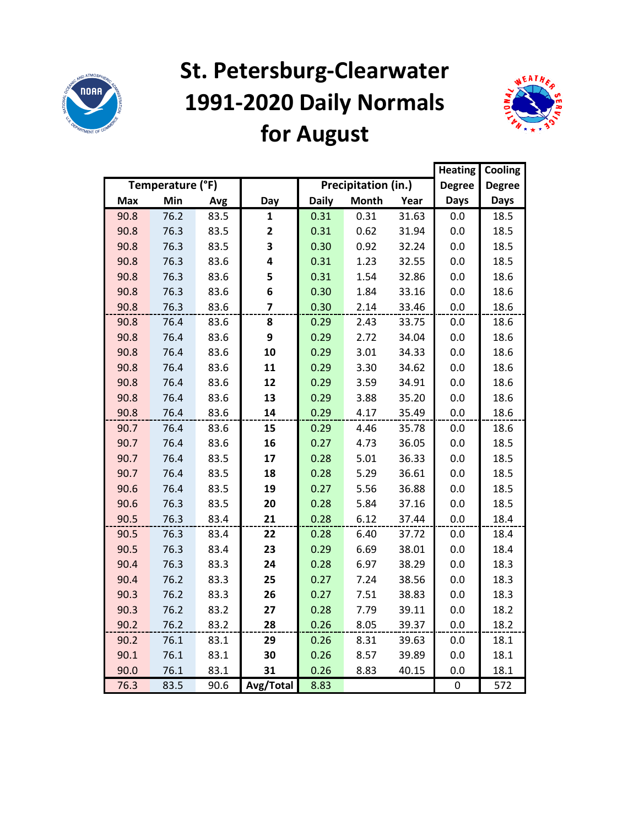

## **St. Petersburg-Clearwater 1991-2020 Daily Normals for August**



|            |                  |      |           |              |                     |       | <b>Heating</b> | Cooling       |
|------------|------------------|------|-----------|--------------|---------------------|-------|----------------|---------------|
|            | Temperature (°F) |      |           |              | Precipitation (in.) |       | <b>Degree</b>  | <b>Degree</b> |
| <b>Max</b> | Min              | Avg  | Day       | <b>Daily</b> | <b>Month</b>        | Year  | <b>Days</b>    | <b>Days</b>   |
| 90.8       | 76.2             | 83.5 | 1         | 0.31         | 0.31                | 31.63 | 0.0            | 18.5          |
| 90.8       | 76.3             | 83.5 | 2         | 0.31         | 0.62                | 31.94 | 0.0            | 18.5          |
| 90.8       | 76.3             | 83.5 | 3         | 0.30         | 0.92                | 32.24 | 0.0            | 18.5          |
| 90.8       | 76.3             | 83.6 | 4         | 0.31         | 1.23                | 32.55 | 0.0            | 18.5          |
| 90.8       | 76.3             | 83.6 | 5         | 0.31         | 1.54                | 32.86 | 0.0            | 18.6          |
| 90.8       | 76.3             | 83.6 | 6         | 0.30         | 1.84                | 33.16 | 0.0            | 18.6          |
| 90.8       | 76.3             | 83.6 | 7         | 0.30         | 2.14                | 33.46 | 0.0            | 18.6          |
| 90.8       | 76.4             | 83.6 | 8         | 0.29         | 2.43                | 33.75 | 0.0            | 18.6          |
| 90.8       | 76.4             | 83.6 | 9         | 0.29         | 2.72                | 34.04 | 0.0            | 18.6          |
| 90.8       | 76.4             | 83.6 | 10        | 0.29         | 3.01                | 34.33 | 0.0            | 18.6          |
| 90.8       | 76.4             | 83.6 | 11        | 0.29         | 3.30                | 34.62 | 0.0            | 18.6          |
| 90.8       | 76.4             | 83.6 | 12        | 0.29         | 3.59                | 34.91 | 0.0            | 18.6          |
| 90.8       | 76.4             | 83.6 | 13        | 0.29         | 3.88                | 35.20 | 0.0            | 18.6          |
| 90.8       | 76.4             | 83.6 | 14        | 0.29         | 4.17                | 35.49 | 0.0            | 18.6          |
| 90.7       | 76.4             | 83.6 | 15        | 0.29         | 4.46                | 35.78 | 0.0            | 18.6          |
| 90.7       | 76.4             | 83.6 | 16        | 0.27         | 4.73                | 36.05 | 0.0            | 18.5          |
| 90.7       | 76.4             | 83.5 | 17        | 0.28         | 5.01                | 36.33 | 0.0            | 18.5          |
| 90.7       | 76.4             | 83.5 | 18        | 0.28         | 5.29                | 36.61 | 0.0            | 18.5          |
| 90.6       | 76.4             | 83.5 | 19        | 0.27         | 5.56                | 36.88 | 0.0            | 18.5          |
| 90.6       | 76.3             | 83.5 | 20        | 0.28         | 5.84                | 37.16 | 0.0            | 18.5          |
| 90.5       | 76.3             | 83.4 | 21        | 0.28         | 6.12                | 37.44 | 0.0            | 18.4          |
| 90.5       | 76.3             | 83.4 | 22        | 0.28         | 6.40                | 37.72 | 0.0            | 18.4          |
| 90.5       | 76.3             | 83.4 | 23        | 0.29         | 6.69                | 38.01 | 0.0            | 18.4          |
| 90.4       | 76.3             | 83.3 | 24        | 0.28         | 6.97                | 38.29 | 0.0            | 18.3          |
| 90.4       | 76.2             | 83.3 | 25        | 0.27         | 7.24                | 38.56 | 0.0            | 18.3          |
| 90.3       | 76.2             | 83.3 | 26        | 0.27         | 7.51                | 38.83 | 0.0            | 18.3          |
| 90.3       | 76.2             | 83.2 | 27        | 0.28         | 7.79                | 39.11 | 0.0            | 18.2          |
| 90.2       | 76.2             | 83.2 | 28        | 0.26         | 8.05                | 39.37 | 0.0            | 18.2          |
| 90.2       | 76.1             | 83.1 | 29        | 0.26         | 8.31                | 39.63 | 0.0            | 18.1          |
| 90.1       | 76.1             | 83.1 | 30        | 0.26         | 8.57                | 39.89 | 0.0            | 18.1          |
| 90.0       | 76.1             | 83.1 | 31        | 0.26         | 8.83                | 40.15 | 0.0            | 18.1          |
| 76.3       | 83.5             | 90.6 | Avg/Total | 8.83         |                     |       | 0              | 572           |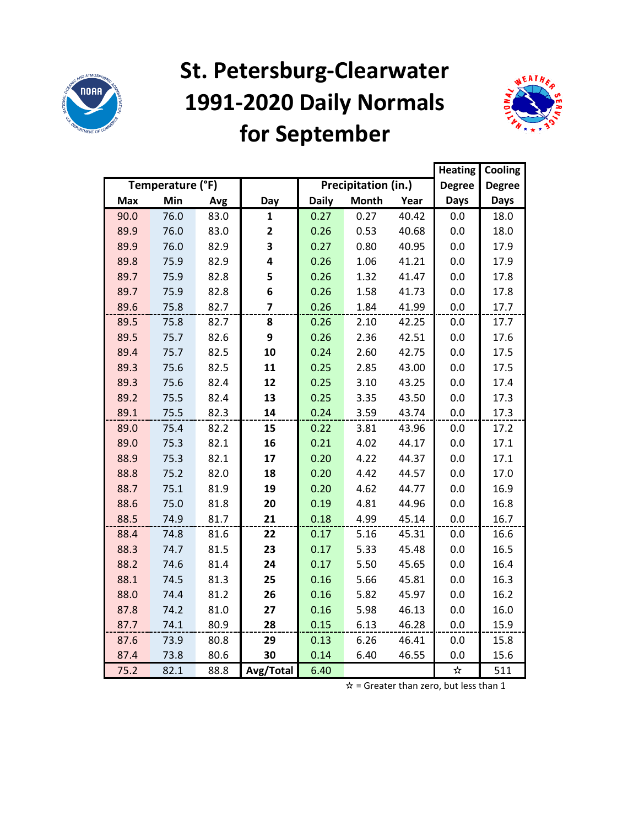

## **St. Petersburg-Clearwater 1991-2020 Daily Normals for September**



|            |                  |      |                |              |                     |       | <b>Heating</b> | Cooling       |
|------------|------------------|------|----------------|--------------|---------------------|-------|----------------|---------------|
|            | Temperature (°F) |      |                |              | Precipitation (in.) |       | <b>Degree</b>  | <b>Degree</b> |
| <b>Max</b> | Min              | Avg  | Day            | <b>Daily</b> | <b>Month</b>        | Year  | <b>Days</b>    | <b>Days</b>   |
| 90.0       | 76.0             | 83.0 | 1              | 0.27         | 0.27                | 40.42 | 0.0            | 18.0          |
| 89.9       | 76.0             | 83.0 | 2              | 0.26         | 0.53                | 40.68 | 0.0            | 18.0          |
| 89.9       | 76.0             | 82.9 | 3              | 0.27         | 0.80                | 40.95 | 0.0            | 17.9          |
| 89.8       | 75.9             | 82.9 | 4              | 0.26         | 1.06                | 41.21 | 0.0            | 17.9          |
| 89.7       | 75.9             | 82.8 | 5              | 0.26         | 1.32                | 41.47 | 0.0            | 17.8          |
| 89.7       | 75.9             | 82.8 | 6              | 0.26         | 1.58                | 41.73 | 0.0            | 17.8          |
| 89.6       | 75.8             | 82.7 | $\overline{7}$ | 0.26         | 1.84                | 41.99 | 0.0            | 17.7          |
| 89.5       | 75.8             | 82.7 | 8              | 0.26         | 2.10                | 42.25 | 0.0            | 17.7          |
| 89.5       | 75.7             | 82.6 | 9              | 0.26         | 2.36                | 42.51 | 0.0            | 17.6          |
| 89.4       | 75.7             | 82.5 | 10             | 0.24         | 2.60                | 42.75 | 0.0            | 17.5          |
| 89.3       | 75.6             | 82.5 | 11             | 0.25         | 2.85                | 43.00 | 0.0            | 17.5          |
| 89.3       | 75.6             | 82.4 | 12             | 0.25         | 3.10                | 43.25 | 0.0            | 17.4          |
| 89.2       | 75.5             | 82.4 | 13             | 0.25         | 3.35                | 43.50 | 0.0            | 17.3          |
| 89.1       | 75.5             | 82.3 | 14             | 0.24         | 3.59                | 43.74 | 0.0            | 17.3          |
| 89.0       | 75.4             | 82.2 | 15             | 0.22         | 3.81                | 43.96 | 0.0            | 17.2          |
| 89.0       | 75.3             | 82.1 | 16             | 0.21         | 4.02                | 44.17 | 0.0            | 17.1          |
| 88.9       | 75.3             | 82.1 | 17             | 0.20         | 4.22                | 44.37 | 0.0            | 17.1          |
| 88.8       | 75.2             | 82.0 | 18             | 0.20         | 4.42                | 44.57 | 0.0            | 17.0          |
| 88.7       | 75.1             | 81.9 | 19             | 0.20         | 4.62                | 44.77 | 0.0            | 16.9          |
| 88.6       | 75.0             | 81.8 | 20             | 0.19         | 4.81                | 44.96 | 0.0            | 16.8          |
| 88.5       | 74.9             | 81.7 | 21             | 0.18         | 4.99                | 45.14 | 0.0            | 16.7          |
| 88.4       | 74.8             | 81.6 | 22             | 0.17         | 5.16                | 45.31 | 0.0            | 16.6          |
| 88.3       | 74.7             | 81.5 | 23             | 0.17         | 5.33                | 45.48 | 0.0            | 16.5          |
| 88.2       | 74.6             | 81.4 | 24             | 0.17         | 5.50                | 45.65 | 0.0            | 16.4          |
| 88.1       | 74.5             | 81.3 | 25             | 0.16         | 5.66                | 45.81 | 0.0            | 16.3          |
| 88.0       | 74.4             | 81.2 | 26             | 0.16         | 5.82                | 45.97 | 0.0            | 16.2          |
| 87.8       | 74.2             | 81.0 | 27             | 0.16         | 5.98                | 46.13 | 0.0            | 16.0          |
| 87.7       | 74.1             | 80.9 | 28             | 0.15         | 6.13                | 46.28 | 0.0            | 15.9          |
| 87.6       | 73.9             | 80.8 | 29             | 0.13         | 6.26                | 46.41 | 0.0            | 15.8          |
| 87.4       | 73.8             | 80.6 | 30             | 0.14         | 6.40                | 46.55 | 0.0            | 15.6          |
| 75.2       | 82.1             | 88.8 | Avg/Total      | 6.40         |                     |       | ☆              | 511           |

 $\hat{x}$  = Greater than zero, but less than 1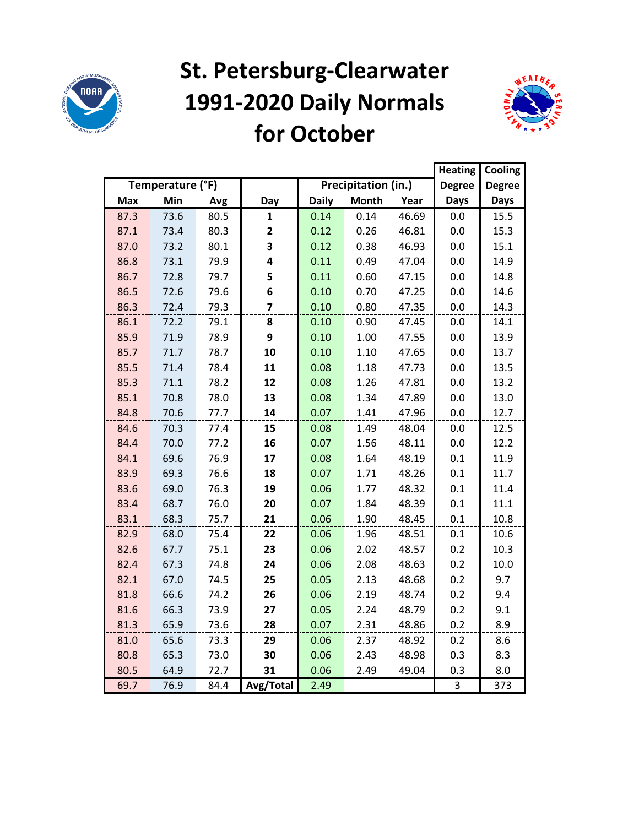

### **St. Petersburg-Clearwater 1991-2020 Daily Normals for October**



|            |                  |      | <b>Heating</b> | Cooling      |                     |       |               |               |
|------------|------------------|------|----------------|--------------|---------------------|-------|---------------|---------------|
|            | Temperature (°F) |      |                |              | Precipitation (in.) |       | <b>Degree</b> | <b>Degree</b> |
| <b>Max</b> | Min              | Avg  | Day            | <b>Daily</b> | <b>Month</b>        | Year  | <b>Days</b>   | <b>Days</b>   |
| 87.3       | 73.6             | 80.5 | 1              | 0.14         | 0.14                | 46.69 | 0.0           | 15.5          |
| 87.1       | 73.4             | 80.3 | 2              | 0.12         | 0.26                | 46.81 | 0.0           | 15.3          |
| 87.0       | 73.2             | 80.1 | 3              | 0.12         | 0.38                | 46.93 | 0.0           | 15.1          |
| 86.8       | 73.1             | 79.9 | 4              | 0.11         | 0.49                | 47.04 | 0.0           | 14.9          |
| 86.7       | 72.8             | 79.7 | 5              | 0.11         | 0.60                | 47.15 | 0.0           | 14.8          |
| 86.5       | 72.6             | 79.6 | 6              | 0.10         | 0.70                | 47.25 | 0.0           | 14.6          |
| 86.3       | 72.4             | 79.3 | 7              | 0.10         | 0.80                | 47.35 | 0.0           | 14.3          |
| 86.1       | 72.2             | 79.1 | 8              | 0.10         | 0.90                | 47.45 | 0.0           | 14.1          |
| 85.9       | 71.9             | 78.9 | 9              | 0.10         | 1.00                | 47.55 | 0.0           | 13.9          |
| 85.7       | 71.7             | 78.7 | 10             | 0.10         | 1.10                | 47.65 | 0.0           | 13.7          |
| 85.5       | 71.4             | 78.4 | 11             | 0.08         | 1.18                | 47.73 | 0.0           | 13.5          |
| 85.3       | 71.1             | 78.2 | 12             | 0.08         | 1.26                | 47.81 | 0.0           | 13.2          |
| 85.1       | 70.8             | 78.0 | 13             | 0.08         | 1.34                | 47.89 | 0.0           | 13.0          |
| 84.8       | 70.6             | 77.7 | 14             | 0.07         | 1.41                | 47.96 | 0.0           | 12.7          |
| 84.6       | 70.3             | 77.4 | 15             | 0.08         | 1.49                | 48.04 | 0.0           | 12.5          |
| 84.4       | 70.0             | 77.2 | 16             | 0.07         | 1.56                | 48.11 | 0.0           | 12.2          |
| 84.1       | 69.6             | 76.9 | 17             | 0.08         | 1.64                | 48.19 | 0.1           | 11.9          |
| 83.9       | 69.3             | 76.6 | 18             | 0.07         | 1.71                | 48.26 | 0.1           | 11.7          |
| 83.6       | 69.0             | 76.3 | 19             | 0.06         | 1.77                | 48.32 | 0.1           | 11.4          |
| 83.4       | 68.7             | 76.0 | 20             | 0.07         | 1.84                | 48.39 | 0.1           | 11.1          |
| 83.1       | 68.3             | 75.7 | 21             | 0.06         | 1.90                | 48.45 | 0.1           | 10.8          |
| 82.9       | 68.0             | 75.4 | 22             | 0.06         | 1.96                | 48.51 | 0.1           | 10.6          |
| 82.6       | 67.7             | 75.1 | 23             | 0.06         | 2.02                | 48.57 | 0.2           | 10.3          |
| 82.4       | 67.3             | 74.8 | 24             | 0.06         | 2.08                | 48.63 | 0.2           | 10.0          |
| 82.1       | 67.0             | 74.5 | 25             | 0.05         | 2.13                | 48.68 | 0.2           | 9.7           |
| 81.8       | 66.6             | 74.2 | 26             | 0.06         | 2.19                | 48.74 | 0.2           | 9.4           |
| 81.6       | 66.3             | 73.9 | 27             | 0.05         | 2.24                | 48.79 | 0.2           | 9.1           |
| 81.3       | 65.9             | 73.6 | 28             | 0.07         | 2.31                | 48.86 | 0.2           | 8.9           |
| 81.0       | 65.6             | 73.3 | 29             | 0.06         | 2.37                | 48.92 | 0.2           | 8.6           |
| 80.8       | 65.3             | 73.0 | 30             | 0.06         | 2.43                | 48.98 | 0.3           | 8.3           |
| 80.5       | 64.9             | 72.7 | 31             | 0.06         | 2.49                | 49.04 | 0.3           | 8.0           |
| 69.7       | 76.9             | 84.4 | Avg/Total      | 2.49         |                     |       | 3             | 373           |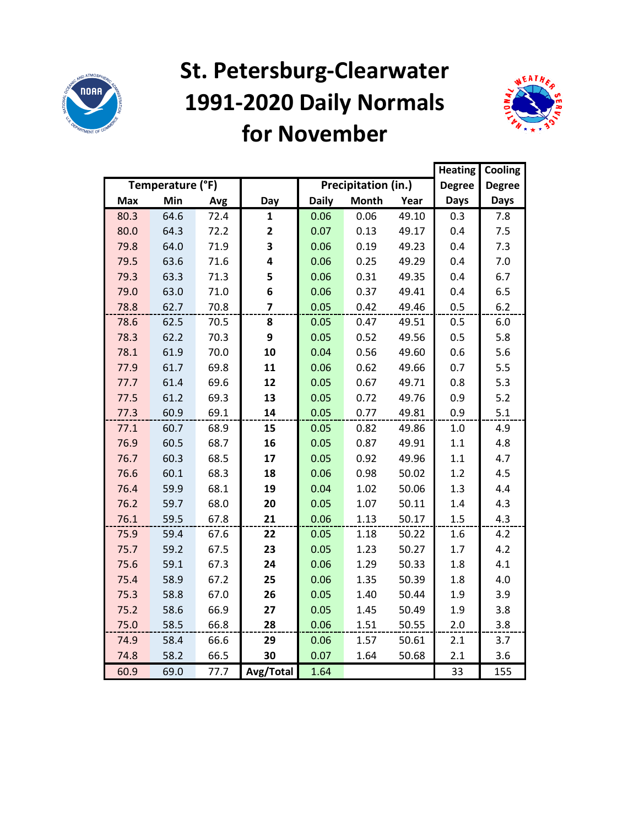

#### **St. Petersburg-Clearwater 1991-2020 Daily Normals for November**



|            |                  |      |                |              |                     |       | <b>Heating</b> | Cooling       |
|------------|------------------|------|----------------|--------------|---------------------|-------|----------------|---------------|
|            | Temperature (°F) |      |                |              | Precipitation (in.) |       | <b>Degree</b>  | <b>Degree</b> |
| <b>Max</b> | Min              | Avg  | Day            | <b>Daily</b> | <b>Month</b>        | Year  | <b>Days</b>    | <b>Days</b>   |
| 80.3       | 64.6             | 72.4 | $\mathbf{1}$   | 0.06         | 0.06                | 49.10 | 0.3            | 7.8           |
| 80.0       | 64.3             | 72.2 | $\mathbf{2}$   | 0.07         | 0.13                | 49.17 | 0.4            | 7.5           |
| 79.8       | 64.0             | 71.9 | 3              | 0.06         | 0.19                | 49.23 | 0.4            | 7.3           |
| 79.5       | 63.6             | 71.6 | 4              | 0.06         | 0.25                | 49.29 | 0.4            | 7.0           |
| 79.3       | 63.3             | 71.3 | 5              | 0.06         | 0.31                | 49.35 | 0.4            | 6.7           |
| 79.0       | 63.0             | 71.0 | 6              | 0.06         | 0.37                | 49.41 | 0.4            | 6.5           |
| 78.8       | 62.7             | 70.8 | $\overline{7}$ | 0.05         | 0.42                | 49.46 | 0.5            | 6.2           |
| 78.6       | 62.5             | 70.5 | 8              | 0.05         | 0.47                | 49.51 | 0.5            | 6.0           |
| 78.3       | 62.2             | 70.3 | 9              | 0.05         | 0.52                | 49.56 | 0.5            | 5.8           |
| 78.1       | 61.9             | 70.0 | 10             | 0.04         | 0.56                | 49.60 | 0.6            | 5.6           |
| 77.9       | 61.7             | 69.8 | 11             | 0.06         | 0.62                | 49.66 | 0.7            | 5.5           |
| 77.7       | 61.4             | 69.6 | 12             | 0.05         | 0.67                | 49.71 | 0.8            | 5.3           |
| 77.5       | 61.2             | 69.3 | 13             | 0.05         | 0.72                | 49.76 | 0.9            | 5.2           |
| 77.3       | 60.9             | 69.1 | 14             | 0.05         | 0.77                | 49.81 | 0.9            | 5.1           |
| 77.1       | 60.7             | 68.9 | 15             | 0.05         | 0.82                | 49.86 | 1.0            | 4.9           |
| 76.9       | 60.5             | 68.7 | 16             | 0.05         | 0.87                | 49.91 | 1.1            | 4.8           |
| 76.7       | 60.3             | 68.5 | 17             | 0.05         | 0.92                | 49.96 | 1.1            | 4.7           |
| 76.6       | 60.1             | 68.3 | 18             | 0.06         | 0.98                | 50.02 | $1.2\,$        | 4.5           |
| 76.4       | 59.9             | 68.1 | 19             | 0.04         | 1.02                | 50.06 | 1.3            | 4.4           |
| 76.2       | 59.7             | 68.0 | 20             | 0.05         | 1.07                | 50.11 | 1.4            | 4.3           |
| 76.1       | 59.5             | 67.8 | 21             | 0.06         | 1.13                | 50.17 | 1.5            | 4.3           |
| 75.9       | 59.4             | 67.6 | 22             | 0.05         | 1.18                | 50.22 | 1.6            | 4.2           |
| 75.7       | 59.2             | 67.5 | 23             | 0.05         | 1.23                | 50.27 | 1.7            | 4.2           |
| 75.6       | 59.1             | 67.3 | 24             | 0.06         | 1.29                | 50.33 | 1.8            | 4.1           |
| 75.4       | 58.9             | 67.2 | 25             | 0.06         | 1.35                | 50.39 | 1.8            | 4.0           |
| 75.3       | 58.8             | 67.0 | 26             | 0.05         | 1.40                | 50.44 | 1.9            | 3.9           |
| 75.2       | 58.6             | 66.9 | 27             | 0.05         | 1.45                | 50.49 | 1.9            | 3.8           |
| 75.0       | 58.5             | 66.8 | 28             | 0.06         | 1.51                | 50.55 | 2.0            | 3.8           |
| 74.9       | 58.4             | 66.6 | 29             | 0.06         | 1.57                | 50.61 | 2.1            | 3.7           |
| 74.8       | 58.2             | 66.5 | 30             | 0.07         | 1.64                | 50.68 | 2.1            | 3.6           |
| 60.9       | 69.0             | 77.7 | Avg/Total      | 1.64         |                     |       | 33             | 155           |